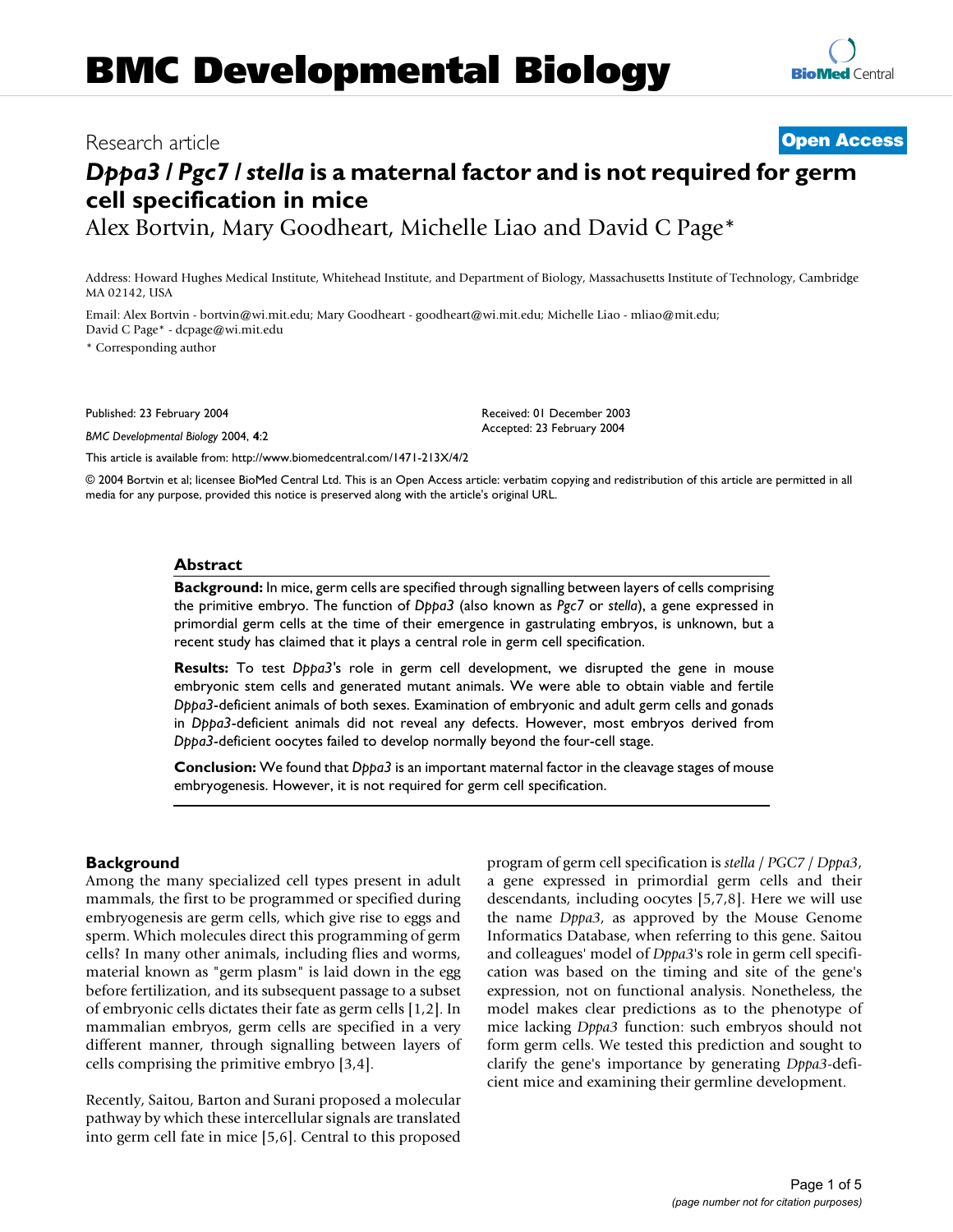# **BMC Developmental Biology**



# *Dppa3 / Pgc7 / stella* **is a maternal factor and is not required for germ cell specification in mice**

Alex Bortvin, Mary Goodheart, Michelle Liao and David C Page\*

Address: Howard Hughes Medical Institute, Whitehead Institute, and Department of Biology, Massachusetts Institute of Technology, Cambridge MA 02142, USA

Email: Alex Bortvin - bortvin@wi.mit.edu; Mary Goodheart - goodheart@wi.mit.edu; Michelle Liao - mliao@mit.edu; David C Page\* - dcpage@wi.mit.edu

\* Corresponding author

Published: 23 February 2004

*BMC Developmental Biology* 2004, **4**:2

[This article is available from: http://www.biomedcentral.com/1471-213X/4/2](http://www.biomedcentral.com/1471-213X/4/2)

© 2004 Bortvin et al; licensee BioMed Central Ltd. This is an Open Access article: verbatim copying and redistribution of this article are permitted in all media for any purpose, provided this notice is preserved along with the article's original URL.

Received: 01 December 2003 Accepted: 23 February 2004

#### **Abstract**

**Background:** In mice, germ cells are specified through signalling between layers of cells comprising the primitive embryo. The function of *Dppa3* (also known as *Pgc7* or *stella*), a gene expressed in primordial germ cells at the time of their emergence in gastrulating embryos, is unknown, but a recent study has claimed that it plays a central role in germ cell specification.

**Results:** To test *Dppa3'*s role in germ cell development, we disrupted the gene in mouse embryonic stem cells and generated mutant animals. We were able to obtain viable and fertile *Dppa3*-deficient animals of both sexes. Examination of embryonic and adult germ cells and gonads in *Dppa3*-deficient animals did not reveal any defects. However, most embryos derived from *Dppa3*-deficient oocytes failed to develop normally beyond the four-cell stage.

**Conclusion:** We found that *Dppa3* is an important maternal factor in the cleavage stages of mouse embryogenesis. However, it is not required for germ cell specification.

# **Background**

Among the many specialized cell types present in adult mammals, the first to be programmed or specified during embryogenesis are germ cells, which give rise to eggs and sperm. Which molecules direct this programming of germ cells? In many other animals, including flies and worms, material known as "germ plasm" is laid down in the egg before fertilization, and its subsequent passage to a subset of embryonic cells dictates their fate as germ cells [1,2]. In mammalian embryos, germ cells are specified in a very different manner, through signalling between layers of cells comprising the primitive embryo [3,4].

Recently, Saitou, Barton and Surani proposed a molecular pathway by which these intercellular signals are translated into germ cell fate in mice [5,6]. Central to this proposed program of germ cell specification is *stella* / *PGC7* / *Dppa3*, a gene expressed in primordial germ cells and their descendants, including oocytes [5,7,8]. Here we will use the name *Dppa3*, as approved by the Mouse Genome Informatics Database, when referring to this gene. Saitou and colleagues' model of *Dppa3*'s role in germ cell specification was based on the timing and site of the gene's expression, not on functional analysis. Nonetheless, the model makes clear predictions as to the phenotype of mice lacking *Dppa3* function: such embryos should not form germ cells. We tested this prediction and sought to clarify the gene's importance by generating *Dppa3*-deficient mice and examining their germline development.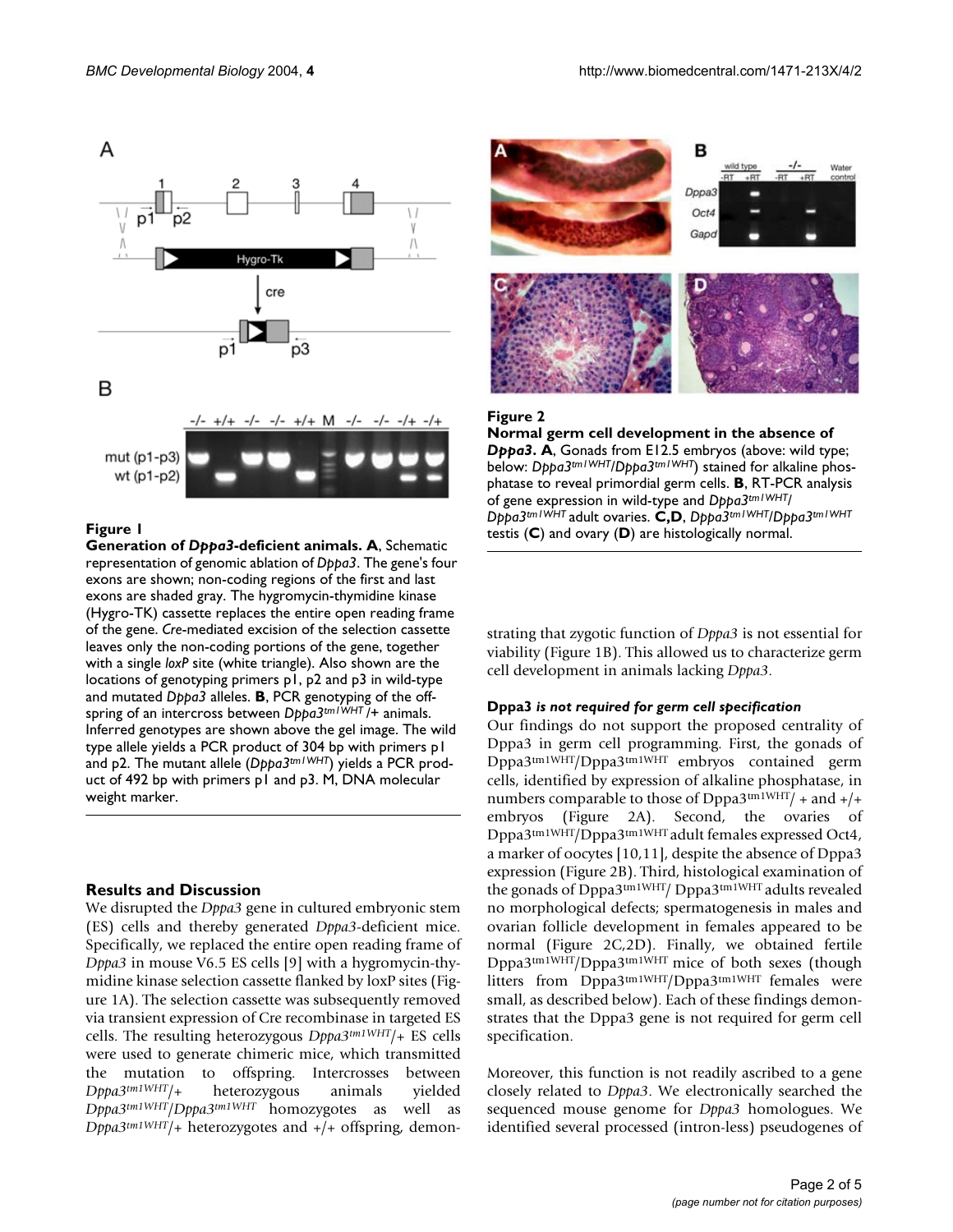

#### **Figure 1**

**Generation of** *Dppa3***-deficient animals. A**, Schematic representation of genomic ablation of *Dppa3*. The gene's four exons are shown; non-coding regions of the first and last exons are shaded gray. The hygromycin-thymidine kinase (Hygro-TK) cassette replaces the entire open reading frame of the gene. *Cre*-mediated excision of the selection cassette leaves only the non-coding portions of the gene, together with a single *loxP* site (white triangle). Also shown are the locations of genotyping primers p1, p2 and p3 in wild-type and mutated *Dppa3* alleles. **B**, PCR genotyping of the offspring of an intercross between *Dppa3tm1WHT* /+ animals. Inferred genotypes are shown above the gel image. The wild type allele yields a PCR product of 304 bp with primers p1 and p2. The mutant allele (*Dppa3tm1WHT*) yields a PCR product of 492 bp with primers p1 and p3. M, DNA molecular weight marker.

# **Results and Discussion**

We disrupted the *Dppa3* gene in cultured embryonic stem (ES) cells and thereby generated *Dppa3*-deficient mice. Specifically, we replaced the entire open reading frame of *Dppa3* in mouse V6.5 ES cells [9] with a hygromycin-thymidine kinase selection cassette flanked by loxP sites (Figure 1A). The selection cassette was subsequently removed via transient expression of Cre recombinase in targeted ES cells. The resulting heterozygous *Dppa3tm1WHT*/+ ES cells were used to generate chimeric mice, which transmitted the mutation to offspring. Intercrosses between *Dppa3tm1WHT*/+ heterozygous animals yielded *Dppa3tm1WHT*/*Dppa3tm1WHT* homozygotes as well as *Dppa3tm1WHT*/+ heterozygotes and +/+ offspring, demon-



#### Figure 2

**Normal germ cell development in the absence of**  *Dppa3***. A**, Gonads from E12.5 embryos (above: wild type; below: *Dppa3tm1WHT*/*Dppa3tm1WHT*) stained for alkaline phosphatase to reveal primordial germ cells. **B**, RT-PCR analysis of gene expression in wild-type and *Dppa3tm1WHT*/ *Dppa3tm1WHT* adult ovaries. **C,D**, *Dppa3tm1WHT*/*Dppa3tm1WHT*  testis (**C**) and ovary (**D**) are histologically normal.

strating that zygotic function of *Dppa3* is not essential for viability (Figure 1B). This allowed us to characterize germ cell development in animals lacking *Dppa3*.

#### **Dppa3** *is not required for germ cell specification*

Our findings do not support the proposed centrality of Dppa3 in germ cell programming. First, the gonads of Dppa3tm1WHT/Dppa3tm1WHT embryos contained germ cells, identified by expression of alkaline phosphatase, in numbers comparable to those of Dppa3tm1WHT/ + and  $+$ /+ embryos (Figure 2A). Second, the ovaries of Dppa3tm1WHT/Dppa3tm1WHT adult females expressed Oct4, a marker of oocytes [10,11], despite the absence of Dppa3 expression (Figure 2B). Third, histological examination of the gonads of Dppa3tm1WHT/ Dppa3tm1WHT adults revealed no morphological defects; spermatogenesis in males and ovarian follicle development in females appeared to be normal (Figure 2C,2D). Finally, we obtained fertile Dppa3tm1WHT/Dppa3tm1WHT mice of both sexes (though litters from Dppa3tm1WHT/Dppa3tm1WHT females were small, as described below). Each of these findings demonstrates that the Dppa3 gene is not required for germ cell specification.

Moreover, this function is not readily ascribed to a gene closely related to *Dppa3*. We electronically searched the sequenced mouse genome for *Dppa3* homologues. We identified several processed (intron-less) pseudogenes of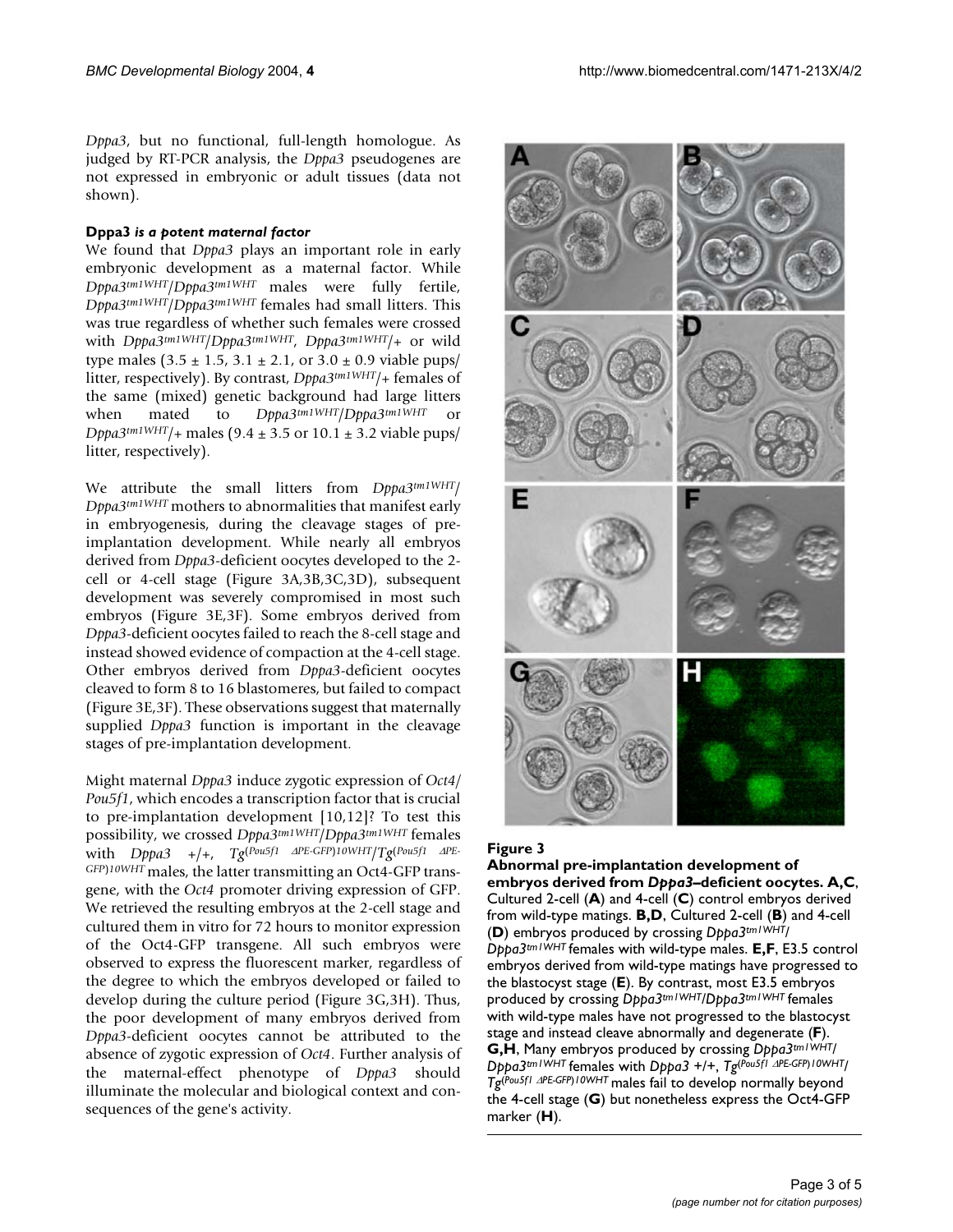*Dppa3*, but no functional, full-length homologue. As judged by RT-PCR analysis, the *Dppa3* pseudogenes are not expressed in embryonic or adult tissues (data not shown).

# **Dppa3** *is a potent maternal factor*

We found that *Dppa3* plays an important role in early embryonic development as a maternal factor. While *Dppa3tm1WHT*/*Dppa3tm1WHT* males were fully fertile, *Dppa3tm1WHT*/*Dppa3tm1WHT* females had small litters. This was true regardless of whether such females were crossed with *Dppa3tm1WHT*/*Dppa3tm1WHT*, *Dppa3tm1WHT*/+ or wild type males  $(3.5 \pm 1.5, 3.1 \pm 2.1, \text{ or } 3.0 \pm 0.9 \text{ viable phys})$ litter, respectively). By contrast, *Dppa3tm1WHT*/+ females of the same (mixed) genetic background had large litters when mated to *Dppa3tm1WHT*/*Dppa3tm1WHT* or *Dppa3<sup>tm1WHT</sup>*/+ males (9.4  $\pm$  3.5 or 10.1  $\pm$  3.2 viable pups/ litter, respectively).

We attribute the small litters from *Dppa3tm1WHT*/ *Dppa3tm1WHT* mothers to abnormalities that manifest early in embryogenesis, during the cleavage stages of preimplantation development. While nearly all embryos derived from *Dppa3*-deficient oocytes developed to the 2 cell or 4-cell stage (Figure 3A,3B,3C,3D), subsequent development was severely compromised in most such embryos (Figure 3E,3F). Some embryos derived from *Dppa3*-deficient oocytes failed to reach the 8-cell stage and instead showed evidence of compaction at the 4-cell stage. Other embryos derived from *Dppa3*-deficient oocytes cleaved to form 8 to 16 blastomeres, but failed to compact (Figure 3E,3F). These observations suggest that maternally supplied *Dppa3* function is important in the cleavage stages of pre-implantation development.

Might maternal *Dppa3* induce zygotic expression of *Oct4/ Pou5f1*, which encodes a transcription factor that is crucial to pre-implantation development [10,12]? To test this possibility, we crossed *Dppa3tm1WHT*/*Dppa3tm1WHT* females with *Dppa3* +/+, *Tg*(*Pou5f1* ∆*PE-GFP*)*10WHT*/*Tg*(*Pou5f1* ∆*PE-GFP*)*10WHT* males, the latter transmitting an Oct4-GFP transgene, with the *Oct4* promoter driving expression of GFP. We retrieved the resulting embryos at the 2-cell stage and cultured them in vitro for 72 hours to monitor expression of the Oct4-GFP transgene. All such embryos were observed to express the fluorescent marker, regardless of the degree to which the embryos developed or failed to develop during the culture period (Figure 3G,3H). Thus, the poor development of many embryos derived from *Dppa3*-deficient oocytes cannot be attributed to the absence of zygotic expression of *Oct4*. Further analysis of the maternal-effect phenotype of *Dppa3* should illuminate the molecular and biological context and consequences of the gene's activity.



# **Figure 3**

**Abnormal pre-implantation development of embryos derived from** *Dppa3***–deficient oocytes. A,C**, Cultured 2-cell (**A**) and 4-cell (**C**) control embryos derived from wild-type matings. **B,D**, Cultured 2-cell (**B**) and 4-cell (**D**) embryos produced by crossing *Dppa3tm1WHT*/ *Dppa3tm1WHT* females with wild-type males. **E,F**, E3.5 control embryos derived from wild-type matings have progressed to the blastocyst stage (**E**). By contrast, most E3.5 embryos produced by crossing *Dppa3tm1WHT*/*Dppa3tm1WHT* females with wild-type males have not progressed to the blastocyst stage and instead cleave abnormally and degenerate (**F**). **G,H**, Many embryos produced by crossing *Dppa3tm1WHT*/ *Dppa3tm1WHT* females with *Dppa3* +/+, *Tg*(*Pou5f1* ∆*PE-GFP*)*10WHT*/ *Tg*(*Pou5f1* ∆*PE-GFP*)*10WHT* males fail to develop normally beyond the 4-cell stage (**G**) but nonetheless express the Oct4-GFP marker (**H**).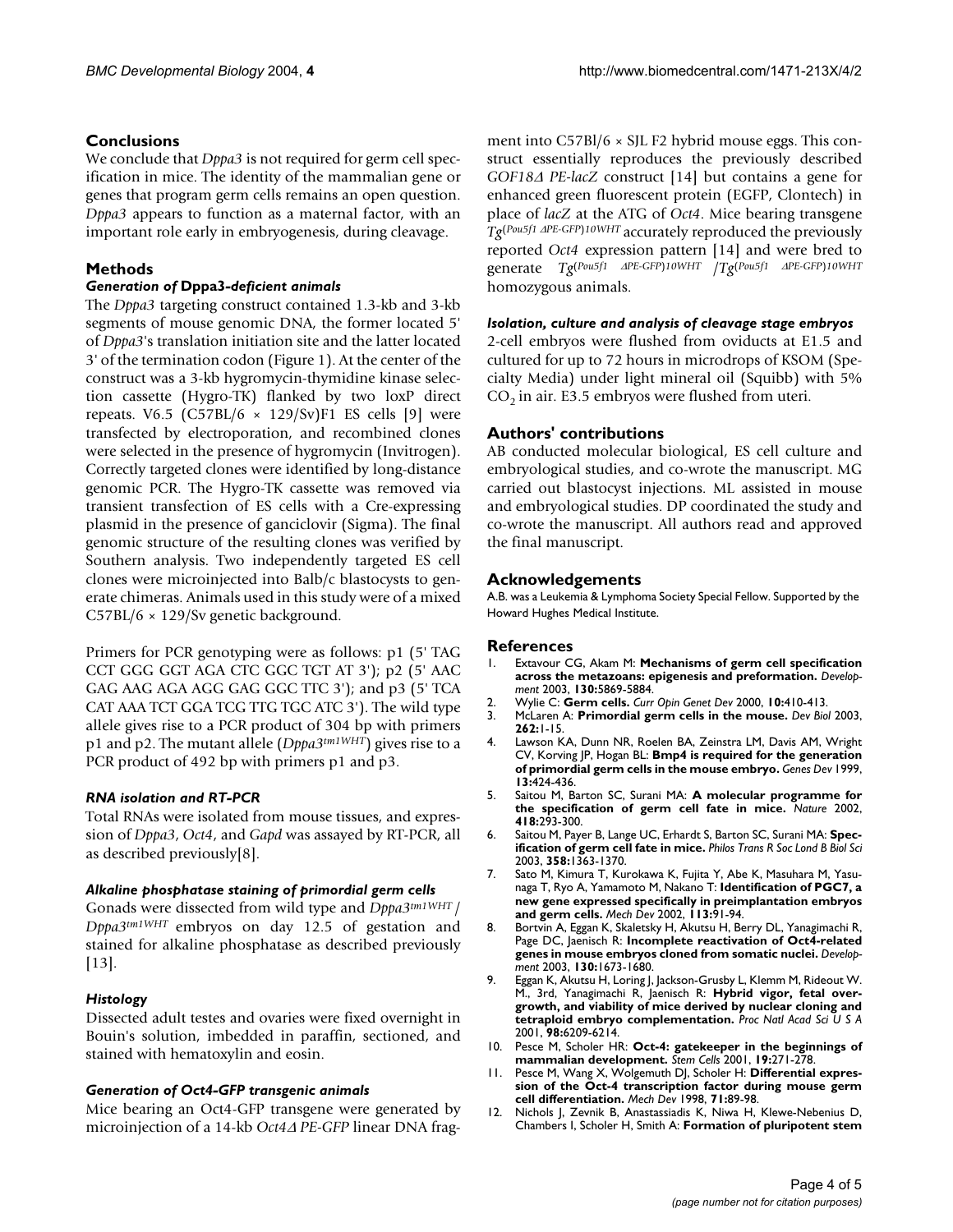# **Conclusions**

We conclude that *Dppa3* is not required for germ cell specification in mice. The identity of the mammalian gene or genes that program germ cells remains an open question. *Dppa3* appears to function as a maternal factor, with an important role early in embryogenesis, during cleavage.

# **Methods**

# *Generation of* **Dppa3***-deficient animals*

The *Dppa3* targeting construct contained 1.3-kb and 3-kb segments of mouse genomic DNA, the former located 5' of *Dppa3*'s translation initiation site and the latter located 3' of the termination codon (Figure 1). At the center of the construct was a 3-kb hygromycin-thymidine kinase selection cassette (Hygro-TK) flanked by two loxP direct repeats. V6.5  $(C57BL/6 \times 129/Sv)F1$  ES cells [9] were transfected by electroporation, and recombined clones were selected in the presence of hygromycin (Invitrogen). Correctly targeted clones were identified by long-distance genomic PCR. The Hygro-TK cassette was removed via transient transfection of ES cells with a Cre-expressing plasmid in the presence of ganciclovir (Sigma). The final genomic structure of the resulting clones was verified by Southern analysis. Two independently targeted ES cell clones were microinjected into Balb/c blastocysts to generate chimeras. Animals used in this study were of a mixed C57BL/6 × 129/Sv genetic background.

Primers for PCR genotyping were as follows: p1 (5' TAG CCT GGG GGT AGA CTC GGC TGT AT 3'); p2 (5' AAC GAG AAG AGA AGG GAG GGC TTC 3'); and p3 (5' TCA CAT AAA TCT GGA TCG TTG TGC ATC 3'). The wild type allele gives rise to a PCR product of 304 bp with primers p1 and p2. The mutant allele (*Dppa3tm1WHT*) gives rise to a PCR product of 492 bp with primers p1 and p3.

# *RNA isolation and RT-PCR*

Total RNAs were isolated from mouse tissues, and expression of *Dppa3*, *Oct4*, and *Gapd* was assayed by RT-PCR, all as described previously[8].

# *Alkaline phosphatase staining of primordial germ cells*

Gonads were dissected from wild type and *Dppa3tm1WHT* / *Dppa3tm1WHT* embryos on day 12.5 of gestation and stained for alkaline phosphatase as described previously [13].

# *Histology*

Dissected adult testes and ovaries were fixed overnight in Bouin's solution, imbedded in paraffin, sectioned, and stained with hematoxylin and eosin.

# *Generation of Oct4-GFP transgenic animals*

Mice bearing an Oct4-GFP transgene were generated by microinjection of a 14-kb *Oct4*∆ *PE-GFP* linear DNA fragment into  $C57Bl/6 \times SL F2$  hybrid mouse eggs. This construct essentially reproduces the previously described *GOF18*∆ *PE-lacZ* construct [14] but contains a gene for enhanced green fluorescent protein (EGFP, Clontech) in place of *lacZ* at the ATG of *Oct4*. Mice bearing transgene *Tg*(*Pou5f1* ∆*PE-GFP*)*10WHT* accurately reproduced the previously reported *Oct4* expression pattern [14] and were bred to generate *Tg*(*Pou5f1* ∆*PE-GFP*)*10WHT* /*Tg*(*Pou5f1* ∆*PE-GFP*)*10WHT* homozygous animals.

### *Isolation, culture and analysis of cleavage stage embryos*

2-cell embryos were flushed from oviducts at E1.5 and cultured for up to 72 hours in microdrops of KSOM (Specialty Media) under light mineral oil (Squibb) with 5%  $CO<sub>2</sub>$  in air. E3.5 embryos were flushed from uteri.

# **Authors' contributions**

AB conducted molecular biological, ES cell culture and embryological studies, and co-wrote the manuscript. MG carried out blastocyst injections. ML assisted in mouse and embryological studies. DP coordinated the study and co-wrote the manuscript. All authors read and approved the final manuscript.

# **Acknowledgements**

A.B. was a Leukemia & Lymphoma Society Special Fellow. Supported by the Howard Hughes Medical Institute.

# **References**

- 1. Extavour CG, Akam M: **[Mechanisms of germ cell specification](http://www.ncbi.nlm.nih.gov/entrez/query.fcgi?cmd=Retrieve&db=PubMed&dopt=Abstract&list_uids=10.1242/dev.00804) [across the metazoans: epigenesis and preformation](http://www.ncbi.nlm.nih.gov/entrez/query.fcgi?cmd=Retrieve&db=PubMed&dopt=Abstract&list_uids=10.1242/dev.00804)[.](http://www.ncbi.nlm.nih.gov/entrez/query.fcgi?cmd=Retrieve&db=PubMed&dopt=Abstract&list_uids=14597570)** *Development* 2003, **130:**5869-5884.
- 2. Wylie C: **[Germ cells](http://www.ncbi.nlm.nih.gov/entrez/query.fcgi?cmd=Retrieve&db=PubMed&dopt=Abstract&list_uids=10.1016/S0959-437X(00)00105-2)[.](http://www.ncbi.nlm.nih.gov/entrez/query.fcgi?cmd=Retrieve&db=PubMed&dopt=Abstract&list_uids=10889067)** *Curr Opin Genet Dev* 2000, **10:**410-413.
- 3. McLaren A: **[Primordial germ cells in the mouse](http://www.ncbi.nlm.nih.gov/entrez/query.fcgi?cmd=Retrieve&db=PubMed&dopt=Abstract&list_uids=10.1016/S0012-1606(03)00214-8)[.](http://www.ncbi.nlm.nih.gov/entrez/query.fcgi?cmd=Retrieve&db=PubMed&dopt=Abstract&list_uids=14512014)** *Dev Biol* 2003, **262:**1-15.
- 4. Lawson KA, Dunn NR, Roelen BA, Zeinstra LM, Davis AM, Wright CV, Korving JP, Hogan BL: **[Bmp4 is required for the generation](http://www.ncbi.nlm.nih.gov/entrez/query.fcgi?cmd=Retrieve&db=PubMed&dopt=Abstract&list_uids=10049358) [of primordial germ cells in the mouse embryo.](http://www.ncbi.nlm.nih.gov/entrez/query.fcgi?cmd=Retrieve&db=PubMed&dopt=Abstract&list_uids=10049358)** *Genes Dev* 1999, **13:**424-436.
- 5. Saitou M, Barton SC, Surani MA: **[A molecular programme for](http://www.ncbi.nlm.nih.gov/entrez/query.fcgi?cmd=Retrieve&db=PubMed&dopt=Abstract&list_uids=10.1038/nature00927) [the specification of germ cell fate in mice](http://www.ncbi.nlm.nih.gov/entrez/query.fcgi?cmd=Retrieve&db=PubMed&dopt=Abstract&list_uids=10.1038/nature00927)[.](http://www.ncbi.nlm.nih.gov/entrez/query.fcgi?cmd=Retrieve&db=PubMed&dopt=Abstract&list_uids=12124616)** *Nature* 2002, **418:**293-300.
- 6. Saitou M, Payer B, Lange UC, Erhardt S, Barton SC, Surani MA: **[Spec](http://www.ncbi.nlm.nih.gov/entrez/query.fcgi?cmd=Retrieve&db=PubMed&dopt=Abstract&list_uids=10.1098/rstb.2003.1329)[ification of germ cell fate in mice](http://www.ncbi.nlm.nih.gov/entrez/query.fcgi?cmd=Retrieve&db=PubMed&dopt=Abstract&list_uids=10.1098/rstb.2003.1329)[.](http://www.ncbi.nlm.nih.gov/entrez/query.fcgi?cmd=Retrieve&db=PubMed&dopt=Abstract&list_uids=14511483)** *Philos Trans R Soc Lond B Biol Sci* 2003, **358:**1363-1370.
- 7. Sato M, Kimura T, Kurokawa K, Fujita Y, Abe K, Masuhara M, Yasunaga T, Ryo A, Yamamoto M, Nakano T: **[Identification of PGC7, a](http://www.ncbi.nlm.nih.gov/entrez/query.fcgi?cmd=Retrieve&db=PubMed&dopt=Abstract&list_uids=10.1016/S0925-4773(02)00002-3) [new gene expressed specifically in preimplantation embryos](http://www.ncbi.nlm.nih.gov/entrez/query.fcgi?cmd=Retrieve&db=PubMed&dopt=Abstract&list_uids=10.1016/S0925-4773(02)00002-3) [and germ cells](http://www.ncbi.nlm.nih.gov/entrez/query.fcgi?cmd=Retrieve&db=PubMed&dopt=Abstract&list_uids=10.1016/S0925-4773(02)00002-3)[.](http://www.ncbi.nlm.nih.gov/entrez/query.fcgi?cmd=Retrieve&db=PubMed&dopt=Abstract&list_uids=11900980)** *Mech Dev* 2002, **113:**91-94.
- 8. Bortvin A, Eggan K, Skaletsky H, Akutsu H, Berry DL, Yanagimachi R, Page DC, Jaenisch R: **[Incomplete reactivation of Oct4-related](http://www.ncbi.nlm.nih.gov/entrez/query.fcgi?cmd=Retrieve&db=PubMed&dopt=Abstract&list_uids=10.1242/dev.00366) [genes in mouse embryos cloned from somatic nuclei](http://www.ncbi.nlm.nih.gov/entrez/query.fcgi?cmd=Retrieve&db=PubMed&dopt=Abstract&list_uids=10.1242/dev.00366)[.](http://www.ncbi.nlm.nih.gov/entrez/query.fcgi?cmd=Retrieve&db=PubMed&dopt=Abstract&list_uids=12620990)** *Development* 2003, **130:**1673-1680.
- 9. Eggan K, Akutsu H, Loring J, Jackson-Grusby L, Klemm M, Rideout W. M., 3rd, Yanagimachi R, Jaenisch R: **[Hybrid vigor, fetal over](http://www.ncbi.nlm.nih.gov/entrez/query.fcgi?cmd=Retrieve&db=PubMed&dopt=Abstract&list_uids=10.1073/pnas.101118898)[growth, and viability of mice derived by nuclear cloning and](http://www.ncbi.nlm.nih.gov/entrez/query.fcgi?cmd=Retrieve&db=PubMed&dopt=Abstract&list_uids=10.1073/pnas.101118898) [tetraploid embryo complementation](http://www.ncbi.nlm.nih.gov/entrez/query.fcgi?cmd=Retrieve&db=PubMed&dopt=Abstract&list_uids=10.1073/pnas.101118898)[.](http://www.ncbi.nlm.nih.gov/entrez/query.fcgi?cmd=Retrieve&db=PubMed&dopt=Abstract&list_uids=11331774)** *Proc Natl Acad Sci U S A* 2001, **98:**6209-6214.
- 10. Pesce M, Scholer HR: **[Oct-4: gatekeeper in the beginnings of](http://www.ncbi.nlm.nih.gov/entrez/query.fcgi?cmd=Retrieve&db=PubMed&dopt=Abstract&list_uids=11463946) [mammalian development.](http://www.ncbi.nlm.nih.gov/entrez/query.fcgi?cmd=Retrieve&db=PubMed&dopt=Abstract&list_uids=11463946)** *Stem Cells* 2001, **19:**271-278.
- 11. Pesce M, Wang X, Wolgemuth DJ, Scholer H: **[Differential expres](http://www.ncbi.nlm.nih.gov/entrez/query.fcgi?cmd=Retrieve&db=PubMed&dopt=Abstract&list_uids=10.1016/S0925-4773(98)00002-1)[sion of the Oct-4 transcription factor during mouse germ](http://www.ncbi.nlm.nih.gov/entrez/query.fcgi?cmd=Retrieve&db=PubMed&dopt=Abstract&list_uids=10.1016/S0925-4773(98)00002-1) [cell differentiation](http://www.ncbi.nlm.nih.gov/entrez/query.fcgi?cmd=Retrieve&db=PubMed&dopt=Abstract&list_uids=10.1016/S0925-4773(98)00002-1)[.](http://www.ncbi.nlm.nih.gov/entrez/query.fcgi?cmd=Retrieve&db=PubMed&dopt=Abstract&list_uids=9507072)** *Mech Dev* 1998, **71:**89-98.
- 12. Nichols J, Zevnik B, Anastassiadis K, Niwa H, Klewe-Nebenius D, Chambers I, Scholer H, Smith A: **[Formation of pluripotent stem](http://www.ncbi.nlm.nih.gov/entrez/query.fcgi?cmd=Retrieve&db=PubMed&dopt=Abstract&list_uids=9814708)**